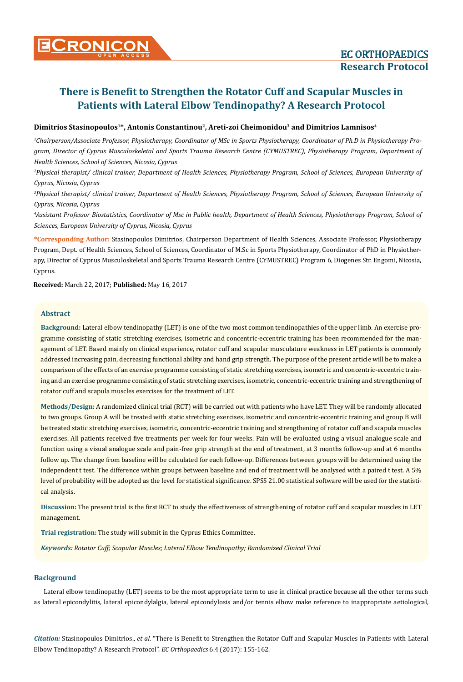# **Dimitrios Stasinopoulos<sup>1</sup>\*, Antonis Constantinou<sup>2</sup>, Areti-zoi Cheimonidou<sup>3</sup> and Dimitrios Lamnisos<sup>4</sup>**

*1 Chairperson/Associate Professor, Physiotherapy, Coordinator of MSc in Sports Physiotherapy, Coordinator of Ph.D in Physiotherapy Program, Director of Cyprus Musculoskeletal and Sports Trauma Research Centre (CYMUSTREC), Physiotherapy Program, Department of Health Sciences, School of Sciences, Nicosia, Cyprus* 

*2 Physical therapist/ clinical trainer, Department of Health Sciences, Physiotherapy Program, School of Sciences, European University of Cyprus, Nicosia, Cyprus* 

<sup>3</sup> Physical therapist/ clinical trainer, Department of Health Sciences, Physiotherapy Program, School of Sciences, European University of *Cyprus, Nicosia, Cyprus* 

*4 Assistant Professor Biostatistics, Coordinator of Msc in Public health, Department of Health Sciences, Physiotherapy Program, School of Sciences, European University of Cyprus, Nicosia, Cyprus*

**\*Corresponding Author:** Stasinopoulos Dimitrios, Chairperson Department of Health Sciences, Associate Professor, Physiotherapy Program, Dept. of Health Sciences, School of Sciences, Coordinator of M.Sc in Sports Physiotherapy, Coordinator of PhD in Physiotherapy, Director of Cyprus Musculoskeletal and Sports Trauma Research Centre (CYMUSTREC) Program 6, Diogenes Str. Engomi, Nicosia, Cyprus.

**Received:** March 22, 2017; **Published:** May 16, 2017

# **Abstract**

**Background:** Lateral elbow tendinopathy (LET) is one of the two most common tendinopathies of the upper limb. An exercise programme consisting of static stretching exercises, isometric and concentric-eccentric training has been recommended for the management of LET. Based mainly on clinical experience, rotator cuff and scapular musculature weakness in LET patients is commonly addressed increasing pain, decreasing functional ability and hand grip strength. The purpose of the present article will be to make a comparison of the effects of an exercise programme consisting of static stretching exercises, isometric and concentric-eccentric training and an exercise programme consisting of static stretching exercises, isometric, concentric-eccentric training and strengthening of rotator cuff and scapula muscles exercises for the treatment of LET.

**Methods/Design:** A randomized clinical trial (RCT) will be carried out with patients who have LET. They will be randomly allocated to two groups. Group A will be treated with static stretching exercises, isometric and concentric-eccentric training and group B will be treated static stretching exercises, isometric, concentric-eccentric training and strengthening of rotator cuff and scapula muscles exercises. All patients received five treatments per week for four weeks. Pain will be evaluated using a visual analogue scale and function using a visual analogue scale and pain-free grip strength at the end of treatment, at 3 months follow-up and at 6 months follow up. The change from baseline will be calculated for each follow-up. Differences between groups will be determined using the independent t test. The difference within groups between baseline and end of treatment will be analysed with a paired t test. A 5% level of probability will be adopted as the level for statistical significance. SPSS 21.00 statistical software will be used for the statistical analysis.

**Discussion:** The present trial is the first RCT to study the effectiveness of strengthening of rotator cuff and scapular muscles in LET management.

**Trial registration:** The study will submit in the Cyprus Ethics Committee.

*Keywords: Rotator Cuff; Scapular Muscles; Lateral Elbow Tendinopathy; Randomized Clinical Trial*

## **Background**

Lateral elbow tendinopathy (LET) seems to be the most appropriate term to use in clinical practice because all the other terms such as lateral epicondylitis, lateral epicondylalgia, lateral epicondylosis and/or tennis elbow make reference to inappropriate aetiological,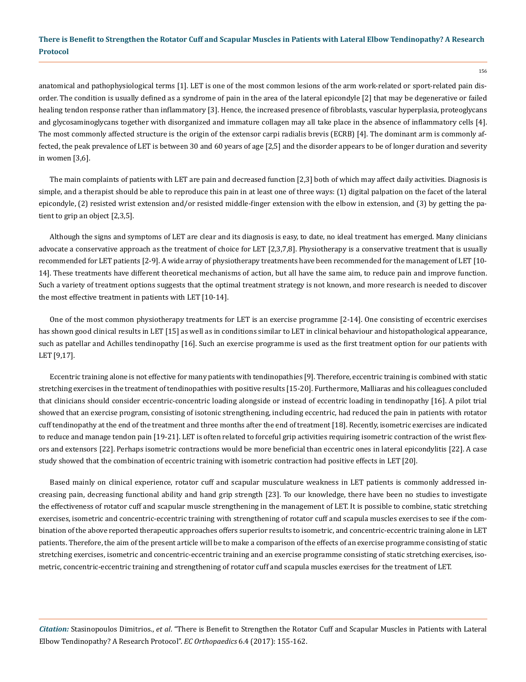156

anatomical and pathophysiological terms [1]. LET is one of the most common lesions of the arm work-related or sport-related pain disorder. The condition is usually defined as a syndrome of pain in the area of the lateral epicondyle [2] that may be degenerative or failed healing tendon response rather than inflammatory [3]. Hence, the increased presence of fibroblasts, vascular hyperplasia, proteoglycans and glycosaminoglycans together with disorganized and immature collagen may all take place in the absence of inflammatory cells [4]. The most commonly affected structure is the origin of the extensor carpi radialis brevis (ECRB) [4]. The dominant arm is commonly affected, the peak prevalence of LET is between 30 and 60 years of age [2,5] and the disorder appears to be of longer duration and severity in women [3,6].

The main complaints of patients with LET are pain and decreased function [2,3] both of which may affect daily activities. Diagnosis is simple, and a therapist should be able to reproduce this pain in at least one of three ways: (1) digital palpation on the facet of the lateral epicondyle, (2) resisted wrist extension and/or resisted middle-finger extension with the elbow in extension, and (3) by getting the patient to grip an object [2,3,5].

Although the signs and symptoms of LET are clear and its diagnosis is easy, to date, no ideal treatment has emerged. Many clinicians advocate a conservative approach as the treatment of choice for LET [2,3,7,8]. Physiotherapy is a conservative treatment that is usually recommended for LET patients [2-9]. A wide array of physiotherapy treatments have been recommended for the management of LET [10- 14]. These treatments have different theoretical mechanisms of action, but all have the same aim, to reduce pain and improve function. Such a variety of treatment options suggests that the optimal treatment strategy is not known, and more research is needed to discover the most effective treatment in patients with LET [10-14].

One of the most common physiotherapy treatments for LET is an exercise programme [2-14]. One consisting of eccentric exercises has shown good clinical results in LET [15] as well as in conditions similar to LET in clinical behaviour and histopathological appearance, such as patellar and Achilles tendinopathy [16]. Such an exercise programme is used as the first treatment option for our patients with LET [9,17].

Eccentric training alone is not effective for many patients with tendinopathies [9]. Therefore, eccentric training is combined with static stretching exercises in the treatment of tendinopathies with positive results [15-20]. Furthermore, Malliaras and his colleagues concluded that clinicians should consider eccentric-concentric loading alongside or instead of eccentric loading in tendinopathy [16]. A pilot trial showed that an exercise program, consisting of isotonic strengthening, including eccentric, had reduced the pain in patients with rotator cuff tendinopathy at the end of the treatment and three months after the end of treatment [18]. Recently, isometric exercises are indicated to reduce and manage tendon pain [19-21]. LET is often related to forceful grip activities requiring isometric contraction of the wrist flexors and extensors [22]. Perhaps isometric contractions would be more beneficial than eccentric ones in lateral epicondylitis [22]. A case study showed that the combination of eccentric training with isometric contraction had positive effects in LET [20].

Based mainly on clinical experience, rotator cuff and scapular musculature weakness in LET patients is commonly addressed increasing pain, decreasing functional ability and hand grip strength [23]. To our knowledge, there have been no studies to investigate the effectiveness of rotator cuff and scapular muscle strengthening in the management of LET. It is possible to combine, static stretching exercises, isometric and concentric-eccentric training with strengthening of rotator cuff and scapula muscles exercises to see if the combination of the above reported therapeutic approaches offers superior results to isometric, and concentric-eccentric training alone in LET patients. Therefore, the aim of the present article will be to make a comparison of the effects of an exercise programme consisting of static stretching exercises, isometric and concentric-eccentric training and an exercise programme consisting of static stretching exercises, isometric, concentric-eccentric training and strengthening of rotator cuff and scapula muscles exercises for the treatment of LET.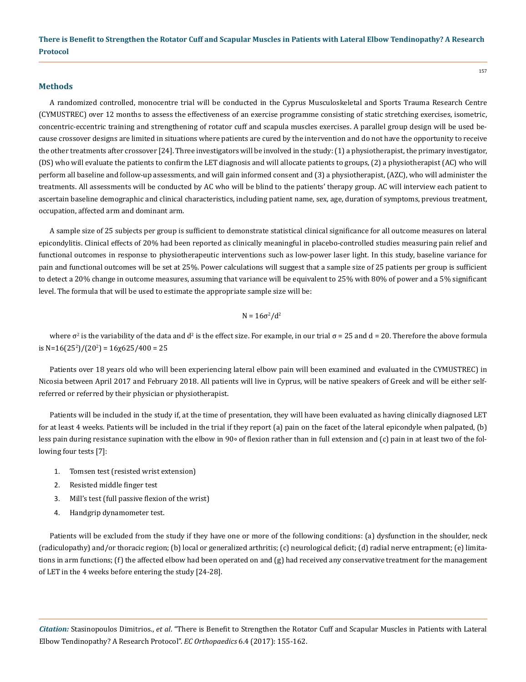#### **Methods**

A randomized controlled, monocentre trial will be conducted in the Cyprus Musculoskeletal and Sports Trauma Research Centre (CYMUSTREC) over 12 months to assess the effectiveness of an exercise programme consisting of static stretching exercises, isometric, concentric-eccentric training and strengthening of rotator cuff and scapula muscles exercises. A parallel group design will be used because crossover designs are limited in situations where patients are cured by the intervention and do not have the opportunity to receive the other treatments after crossover [24]. Three investigators will be involved in the study: (1) a physiotherapist, the primary investigator, (DS) who will evaluate the patients to confirm the LET diagnosis and will allocate patients to groups, (2) a physiotherapist (AC) who will perform all baseline and follow-up assessments, and will gain informed consent and (3) a physiotherapist, (AZC), who will administer the treatments. All assessments will be conducted by AC who will be blind to the patients' therapy group. AC will interview each patient to ascertain baseline demographic and clinical characteristics, including patient name, sex, age, duration of symptoms, previous treatment, occupation, affected arm and dominant arm.

A sample size of 25 subjects per group is sufficient to demonstrate statistical clinical significance for all outcome measures on lateral epicondylitis. Clinical effects of 20% had been reported as clinically meaningful in placebo-controlled studies measuring pain relief and functional outcomes in response to physiotherapeutic interventions such as low-power laser light. In this study, baseline variance for pain and functional outcomes will be set at 25%. Power calculations will suggest that a sample size of 25 patients per group is sufficient to detect a 20% change in outcome measures, assuming that variance will be equivalent to 25% with 80% of power and a 5% significant level. The formula that will be used to estimate the appropriate sample size will be:

$$
N = 16\sigma^2/d^2
$$

where σ<sup>2</sup> is the variability of the data and d<sup>2</sup> is the effect size. For example, in our trial σ = 25 and d = 20. Therefore the above formula is N=16(25<sup>2</sup>)/(20<sup>2</sup>) = 16χ625/400 = 25

Patients over 18 years old who will been experiencing lateral elbow pain will been examined and evaluated in the CYMUSTREC) in Nicosia between April 2017 and February 2018. All patients will live in Cyprus, will be native speakers of Greek and will be either selfreferred or referred by their physician or physiotherapist.

Patients will be included in the study if, at the time of presentation, they will have been evaluated as having clinically diagnosed LET for at least 4 weeks. Patients will be included in the trial if they report (a) pain on the facet of the lateral epicondyle when palpated, (b) less pain during resistance supination with the elbow in 90∘ of flexion rather than in full extension and (c) pain in at least two of the following four tests [7]:

- 1. Tomsen test (resisted wrist extension)
- 2. Resisted middle finger test
- 3. Mill's test (full passive flexion of the wrist)
- 4. Handgrip dynamometer test.

Patients will be excluded from the study if they have one or more of the following conditions: (a) dysfunction in the shoulder, neck (radiculopathy) and/or thoracic region; (b) local or generalized arthritis; (c) neurological deficit; (d) radial nerve entrapment; (e) limitations in arm functions; (f) the affected elbow had been operated on and (g) had received any conservative treatment for the management of LET in the 4 weeks before entering the study [24-28].

*Citation:* Stasinopoulos Dimitrios., *et al*. "There is Benefit to Strengthen the Rotator Cuff and Scapular Muscles in Patients with Lateral Elbow Tendinopathy? A Research Protocol". *EC Orthopaedics* 6.4 (2017): 155-162.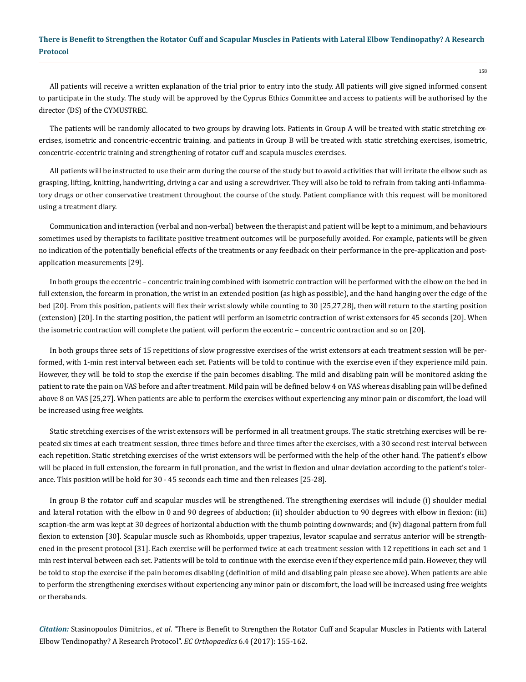All patients will receive a written explanation of the trial prior to entry into the study. All patients will give signed informed consent to participate in the study. The study will be approved by the Cyprus Ethics Committee and access to patients will be authorised by the director (DS) of the CYMUSTREC.

The patients will be randomly allocated to two groups by drawing lots. Patients in Group A will be treated with static stretching exercises, isometric and concentric-eccentric training, and patients in Group B will be treated with static stretching exercises, isometric, concentric-eccentric training and strengthening of rotator cuff and scapula muscles exercises.

All patients will be instructed to use their arm during the course of the study but to avoid activities that will irritate the elbow such as grasping, lifting, knitting, handwriting, driving a car and using a screwdriver. They will also be told to refrain from taking anti-inflammatory drugs or other conservative treatment throughout the course of the study. Patient compliance with this request will be monitored using a treatment diary.

Communication and interaction (verbal and non-verbal) between the therapist and patient will be kept to a minimum, and behaviours sometimes used by therapists to facilitate positive treatment outcomes will be purposefully avoided. For example, patients will be given no indication of the potentially beneficial effects of the treatments or any feedback on their performance in the pre-application and postapplication measurements [29].

In both groups the eccentric – concentric training combined with isometric contraction will be performed with the elbow on the bed in full extension, the forearm in pronation, the wrist in an extended position (as high as possible), and the hand hanging over the edge of the bed [20]. From this position, patients will flex their wrist slowly while counting to 30 [25,27,28], then will return to the starting position (extension) [20]. In the starting position, the patient will perform an isometric contraction of wrist extensors for 45 seconds [20]. When the isometric contraction will complete the patient will perform the eccentric – concentric contraction and so on [20].

In both groups three sets of 15 repetitions of slow progressive exercises of the wrist extensors at each treatment session will be performed, with 1-min rest interval between each set. Patients will be told to continue with the exercise even if they experience mild pain. However, they will be told to stop the exercise if the pain becomes disabling. The mild and disabling pain will be monitored asking the patient to rate the pain on VAS before and after treatment. Mild pain will be defined below 4 on VAS whereas disabling pain will be defined above 8 on VAS [25,27]. When patients are able to perform the exercises without experiencing any minor pain or discomfort, the load will be increased using free weights.

Static stretching exercises of the wrist extensors will be performed in all treatment groups. The static stretching exercises will be repeated six times at each treatment session, three times before and three times after the exercises, with a 30 second rest interval between each repetition. Static stretching exercises of the wrist extensors will be performed with the help of the other hand. The patient's elbow will be placed in full extension, the forearm in full pronation, and the wrist in flexion and ulnar deviation according to the patient's tolerance. This position will be hold for 30 - 45 seconds each time and then releases [25-28].

In group B the rotator cuff and scapular muscles will be strengthened. The strengthening exercises will include (i) shoulder medial and lateral rotation with the elbow in 0 and 90 degrees of abduction; (ii) shoulder abduction to 90 degrees with elbow in flexion: (iii) scaption-the arm was kept at 30 degrees of horizontal abduction with the thumb pointing downwards; and (iv) diagonal pattern from full flexion to extension [30]. Scapular muscle such as Rhomboids, upper trapezius, levator scapulae and serratus anterior will be strengthened in the present protocol [31]. Each exercise will be performed twice at each treatment session with 12 repetitions in each set and 1 min rest interval between each set. Patients will be told to continue with the exercise even if they experience mild pain. However, they will be told to stop the exercise if the pain becomes disabling (definition of mild and disabling pain please see above). When patients are able to perform the strengthening exercises without experiencing any minor pain or discomfort, the load will be increased using free weights or therabands.

*Citation:* Stasinopoulos Dimitrios., *et al*. "There is Benefit to Strengthen the Rotator Cuff and Scapular Muscles in Patients with Lateral Elbow Tendinopathy? A Research Protocol". *EC Orthopaedics* 6.4 (2017): 155-162.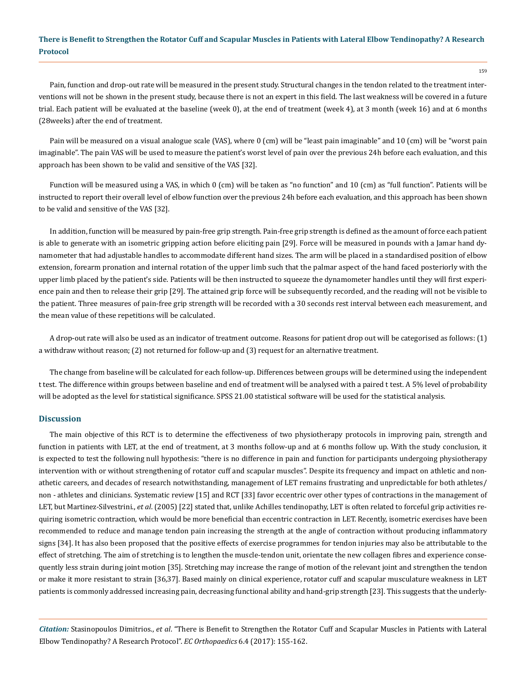Pain, function and drop-out rate will be measured in the present study. Structural changes in the tendon related to the treatment interventions will not be shown in the present study, because there is not an expert in this field. The last weakness will be covered in a future trial. Each patient will be evaluated at the baseline (week 0), at the end of treatment (week 4), at 3 month (week 16) and at 6 months (28weeks) after the end of treatment.

Pain will be measured on a visual analogue scale (VAS), where 0 (cm) will be "least pain imaginable" and 10 (cm) will be "worst pain imaginable". The pain VAS will be used to measure the patient's worst level of pain over the previous 24h before each evaluation, and this approach has been shown to be valid and sensitive of the VAS [32].

Function will be measured using a VAS, in which 0 (cm) will be taken as "no function" and 10 (cm) as "full function". Patients will be instructed to report their overall level of elbow function over the previous 24h before each evaluation, and this approach has been shown to be valid and sensitive of the VAS [32].

In addition, function will be measured by pain-free grip strength. Pain-free grip strength is defined as the amount of force each patient is able to generate with an isometric gripping action before eliciting pain [29]. Force will be measured in pounds with a Jamar hand dynamometer that had adjustable handles to accommodate different hand sizes. The arm will be placed in a standardised position of elbow extension, forearm pronation and internal rotation of the upper limb such that the palmar aspect of the hand faced posteriorly with the upper limb placed by the patient's side. Patients will be then instructed to squeeze the dynamometer handles until they will first experience pain and then to release their grip [29]. The attained grip force will be subsequently recorded, and the reading will not be visible to the patient. Three measures of pain-free grip strength will be recorded with a 30 seconds rest interval between each measurement, and the mean value of these repetitions will be calculated.

A drop-out rate will also be used as an indicator of treatment outcome. Reasons for patient drop out will be categorised as follows: (1) a withdraw without reason; (2) not returned for follow-up and (3) request for an alternative treatment.

The change from baseline will be calculated for each follow-up. Differences between groups will be determined using the independent t test. The difference within groups between baseline and end of treatment will be analysed with a paired t test. A 5% level of probability will be adopted as the level for statistical significance. SPSS 21.00 statistical software will be used for the statistical analysis.

#### **Discussion**

The main objective of this RCT is to determine the effectiveness of two physiotherapy protocols in improving pain, strength and function in patients with LET, at the end of treatment, at 3 months follow-up and at 6 months follow up. With the study conclusion, it is expected to test the following null hypothesis: "there is no difference in pain and function for participants undergoing physiotherapy intervention with or without strengthening of rotator cuff and scapular muscles". Despite its frequency and impact on athletic and nonathetic careers, and decades of research notwithstanding, management of LET remains frustrating and unpredictable for both athletes/ non - athletes and clinicians. Systematic review [15] and RCT [33] favor eccentric over other types of contractions in the management of LET, but Martinez-Silvestrini., *et al*. (2005) [22] stated that, unlike Achilles tendinopathy, LET is often related to forceful grip activities requiring isometric contraction, which would be more beneficial than eccentric contraction in LET. Recently, isometric exercises have been recommended to reduce and manage tendon pain increasing the strength at the angle of contraction without producing inflammatory signs [34]. It has also been proposed that the positive effects of exercise programmes for tendon injuries may also be attributable to the effect of stretching. Τhe aim of stretching is to lengthen the muscle-tendon unit, orientate the new collagen fibres and experience consequently less strain during joint motion [35]. Stretching may increase the range of motion of the relevant joint and strengthen the tendon or make it more resistant to strain [36,37]. Based mainly on clinical experience, rotator cuff and scapular musculature weakness in LET patients is commonly addressed increasing pain, decreasing functional ability and hand-grip strength [23]. This suggests that the underly-

*Citation:* Stasinopoulos Dimitrios., *et al*. "There is Benefit to Strengthen the Rotator Cuff and Scapular Muscles in Patients with Lateral Elbow Tendinopathy? A Research Protocol". *EC Orthopaedics* 6.4 (2017): 155-162.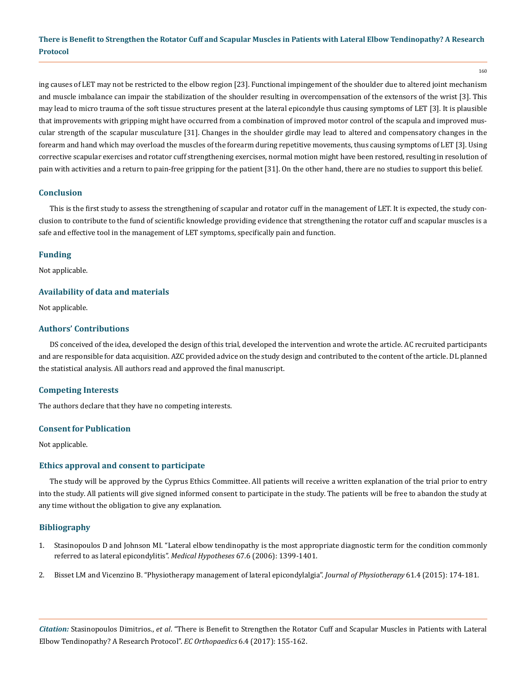160

ing causes of LET may not be restricted to the elbow region [23]. Functional impingement of the shoulder due to altered joint mechanism and muscle imbalance can impair the stabilization of the shoulder resulting in overcompensation of the extensors of the wrist [3]. This may lead to micro trauma of the soft tissue structures present at the lateral epicondyle thus causing symptoms of LET [3]. It is plausible that improvements with gripping might have occurred from a combination of improved motor control of the scapula and improved muscular strength of the scapular musculature [31]. Changes in the shoulder girdle may lead to altered and compensatory changes in the forearm and hand which may overload the muscles of the forearm during repetitive movements, thus causing symptoms of LET [3]. Using corrective scapular exercises and rotator cuff strengthening exercises, normal motion might have been restored, resulting in resolution of pain with activities and a return to pain-free gripping for the patient [31]. On the other hand, there are no studies to support this belief.

## **Conclusion**

This is the first study to assess the strengthening of scapular and rotator cuff in the management of LET. It is expected, the study conclusion to contribute to the fund of scientific knowledge providing evidence that strengthening the rotator cuff and scapular muscles is a safe and effective tool in the management of LET symptoms, specifically pain and function.

## **Funding**

Not applicable.

## **Availability of data and materials**

Not applicable.

## **Authors' Contributions**

DS conceived of the idea, developed the design of this trial, developed the intervention and wrote the article. AC recruited participants and are responsible for data acquisition. AZC provided advice on the study design and contributed to the content of the article. DL planned the statistical analysis. All authors read and approved the final manuscript.

## **Competing Interests**

The authors declare that they have no competing interests.

## **Consent for Publication**

Not applicable.

## **Ethics approval and consent to participate**

The study will be approved by the Cyprus Ethics Committee. All patients will receive a written explanation of the trial prior to entry into the study. All patients will give signed informed consent to participate in the study. The patients will be free to abandon the study at any time without the obligation to give any explanation.

## **Bibliography**

- 1. [Stasinopoulos D and Johnson MI. "Lateral elbow tendinopathy is the most appropriate diagnostic term for the condition commonly](https://www.ncbi.nlm.nih.gov/pubmed/16843614) [referred to as lateral epicondylitis".](https://www.ncbi.nlm.nih.gov/pubmed/16843614) *Medical Hypotheses* 67.6 (2006): 1399-1401.
- 2. [Bisset LM and Vicenzino B. "Physiotherapy management of lateral epicondylalgia".](https://www.ncbi.nlm.nih.gov/pubmed/26361816) *Journal of Physiotherapy* 61.4 (2015): 174-181.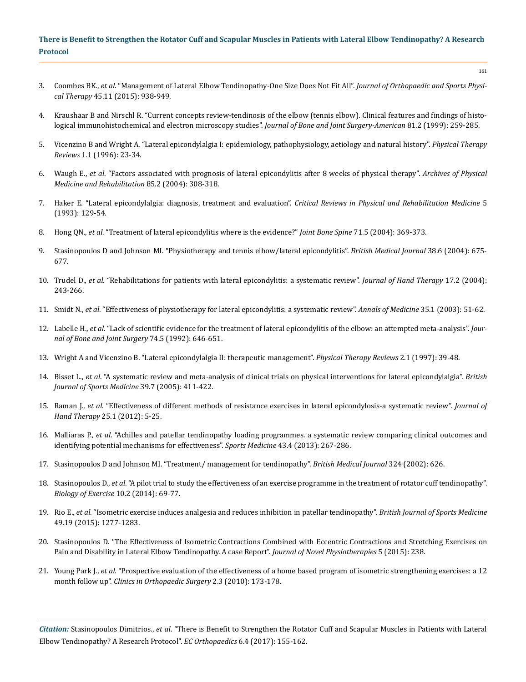- 161
- 3. Coombes BK., *et al*[. "Management of Lateral Elbow Tendinopathy-One Size Does Not Fit All".](https://www.ncbi.nlm.nih.gov/pubmed/26381484) *Journal of Orthopaedic and Sports Physical Therapy* [45.11 \(2015\): 938-949.](https://www.ncbi.nlm.nih.gov/pubmed/26381484)
- 4. [Kraushaar B and Nirschl R. "Current concepts review-tendinosis of the elbow \(tennis elbow\). Clinical features and findings of histo](https://www.ncbi.nlm.nih.gov/pubmed/10073590)[logical immunohistochemical and electron microscopy studies".](https://www.ncbi.nlm.nih.gov/pubmed/10073590) *Journal of Bone and Joint Surgery-American* 81.2 (1999): 259-285.
- 5. [Vicenzino B and Wright A. "Lateral epicondylalgia I: epidemiology, pathophysiology, aetiology and natural history".](http://www.tandfonline.com/doi/abs/10.1179/ptr.1996.1.1.23) *Physical Therapy Reviews* 1.1 (1996): 23-34.
- 6. Waugh E., *et al*[. "Factors associated with prognosis of lateral epicondylitis after 8 weeks of physical therapy".](https://www.ncbi.nlm.nih.gov/pubmed/14966719) *Archives of Physical [Medicine and Rehabilitation](https://www.ncbi.nlm.nih.gov/pubmed/14966719)* 85.2 (2004): 308-318.
- 7. Haker E. "Lateral epicondylalgia: diagnosis, treatment and evaluation". *Critical Reviews in Physical and Rehabilitation Medicine* 5 (1993): 129-54.
- 8. Hong QN., *et al*[. "Treatment of lateral epicondylitis where is the evidence?"](https://www.ncbi.nlm.nih.gov/pubmed/15474386) *Joint Bone Spine* 71.5 (2004): 369-373.
- 9. [Stasinopoulos D and Johnson MI. "Physiotherapy and tennis elbow/lateral epicondylitis".](https://www.ncbi.nlm.nih.gov/pmc/articles/PMC1724968/) *British Medical Journal* 38.6 (2004): 675- [677.](https://www.ncbi.nlm.nih.gov/pmc/articles/PMC1724968/)
- 10. Trudel D., *et al*[. "Rehabilitations for patients with lateral epicondylitis: a systematic review".](https://www.ncbi.nlm.nih.gov/pubmed/15162109) *Journal of Hand Therapy* 17.2 (2004): [243-266.](https://www.ncbi.nlm.nih.gov/pubmed/15162109)
- 11. Smidt N., *et al*[. "Effectiveness of physiotherapy for lateral epicondylitis: a systematic review".](https://www.ncbi.nlm.nih.gov/pubmed/12693613) *Annals of Medicine* 35.1 (2003): 51-62.
- 12. Labelle H., *et al*[. "Lack of scientific evidence for the treatment of lateral epicondylitis of the elbow: an attempted meta-analysis".](https://www.ncbi.nlm.nih.gov/pubmed/1388172) *Jour[nal of Bone and Joint Surgery](https://www.ncbi.nlm.nih.gov/pubmed/1388172)* 74.5 (1992): 646-651.
- 13. [Wright A and Vicenzino B. "Lateral epicondylalgia II: therapeutic management".](http://www.tandfonline.com/doi/abs/10.1179/ptr.1997.2.1.39?journalCode=yptr20) *Physical Therapy Reviews* 2.1 (1997): 39-48.
- 14. Bisset L., *et al*[. "A systematic review and meta-analysis of clinical trials on physical interventions for lateral epicondylalgia".](https://www.ncbi.nlm.nih.gov/pmc/articles/PMC1725258/) *British [Journal of Sports Medicine](https://www.ncbi.nlm.nih.gov/pmc/articles/PMC1725258/)* 39.7 (2005): 411-422.
- 15. Raman J., *et al*[. "Effectiveness of different methods of resistance exercises in lateral epicondylosis-a systematic review".](https://www.ncbi.nlm.nih.gov/pubmed/22075055) *Journal of Hand Therapy* [25.1 \(2012\): 5-25.](https://www.ncbi.nlm.nih.gov/pubmed/22075055)
- 16. Malliaras P., *et al*[. "Achilles and patellar tendinopathy loading programmes. a systematic review comparing clinical outcomes and](https://www.ncbi.nlm.nih.gov/pubmed/23494258) [identifying potential mechanisms for effectiveness".](https://www.ncbi.nlm.nih.gov/pubmed/23494258) *Sports Medicine* 43.4 (2013): 267-286.
- 17. [Stasinopoulos D and Johnson MI. "Treatment/ management for tendinopathy".](http://www.bmj.com/rapid-response/2011/10/30/treatmentmanagement-tendinopathy) *British Medical Journal* 324 (2002): 626.
- 18. Stasinopoulos D., *et al*[. "A pilot trial to study the effectiveness of an exercise programme in the treatment of rotator cuff tendinopathy".](https://www.biologyofexercise.com/images/issues/1026.pdf) *[Biology of Exercise](https://www.biologyofexercise.com/images/issues/1026.pdf)* 10.2 (2014): 69-77.
- 19. Rio E., *et al*[. "Isometric exercise induces analgesia and reduces inhibition in patellar tendinopathy".](https://www.ncbi.nlm.nih.gov/pubmed/25979840) *British Journal of Sports Medicine* [49.19 \(2015\): 1277-1283.](https://www.ncbi.nlm.nih.gov/pubmed/25979840)
- 20. [Stasinopoulos D. "The Effectiveness of Isometric Contractions Combined with Eccentric Contractions and Stretching Exercises on](https://www.omicsgroup.org/journals/the-effectiveness-of-isometric-contractions-combined-with-eccentric-contractions-and-stretching-exercises-on-pain-and-disability-in-lateral-elbow-tendinopathy-a-case-report-2165-7025-238.php?aid=36222) [Pain and Disability in Lateral Elbow Tendinopathy. A case Report".](https://www.omicsgroup.org/journals/the-effectiveness-of-isometric-contractions-combined-with-eccentric-contractions-and-stretching-exercises-on-pain-and-disability-in-lateral-elbow-tendinopathy-a-case-report-2165-7025-238.php?aid=36222) *Journal of Novel Physiotherapies* 5 (2015): 238.
- 21. Young Park J., *et al*[. "Prospective evaluation of the effectiveness of a home based program of isometric strengthening exercises: a 12](https://www.ncbi.nlm.nih.gov/pmc/articles/PMC2915397/)  month follow up". *[Clinics in Orthopaedic Surgery](https://www.ncbi.nlm.nih.gov/pmc/articles/PMC2915397/)* 2.3 (2010): 173-178.